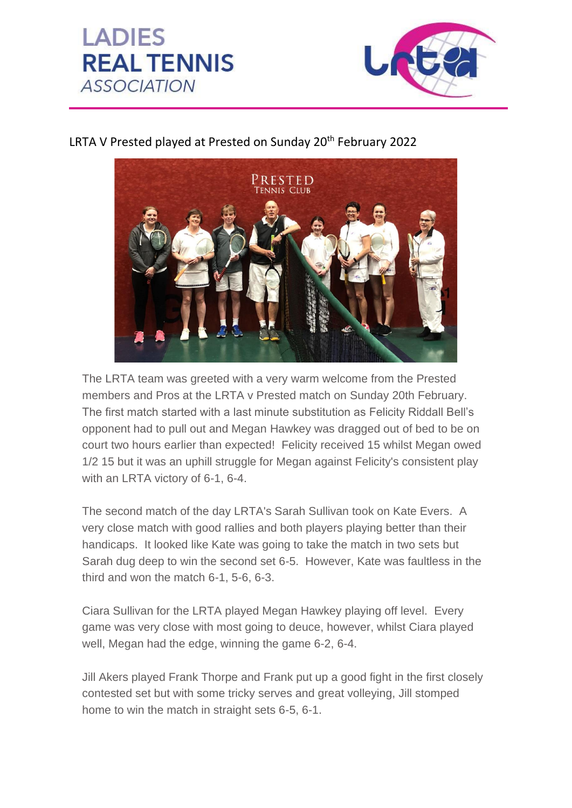



## LRTA V Prested played at Prested on Sunday 20<sup>th</sup> February 2022



The LRTA team was greeted with a very warm welcome from the Prested members and Pros at the LRTA v Prested match on Sunday 20th February. The first match started with a last minute substitution as Felicity Riddall Bell's opponent had to pull out and Megan Hawkey was dragged out of bed to be on court two hours earlier than expected! Felicity received 15 whilst Megan owed 1/2 15 but it was an uphill struggle for Megan against Felicity's consistent play with an LRTA victory of 6-1, 6-4.

The second match of the day LRTA's Sarah Sullivan took on Kate Evers. A very close match with good rallies and both players playing better than their handicaps. It looked like Kate was going to take the match in two sets but Sarah dug deep to win the second set 6-5. However, Kate was faultless in the third and won the match 6-1, 5-6, 6-3.

Ciara Sullivan for the LRTA played Megan Hawkey playing off level. Every game was very close with most going to deuce, however, whilst Ciara played well, Megan had the edge, winning the game 6-2, 6-4.

Jill Akers played Frank Thorpe and Frank put up a good fight in the first closely contested set but with some tricky serves and great volleying, Jill stomped home to win the match in straight sets 6-5, 6-1.